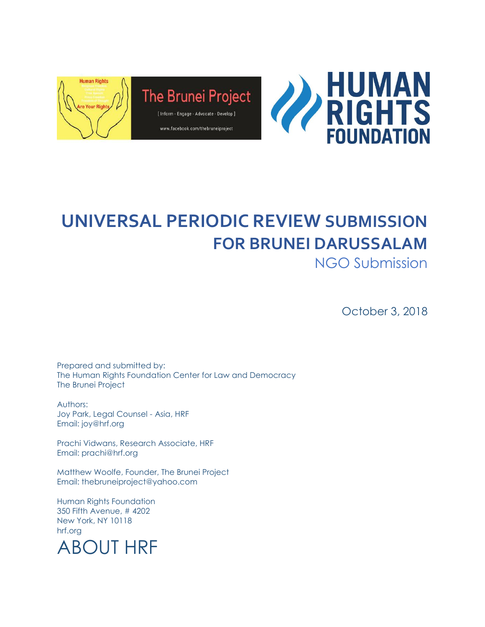

# **UNIVERSAL PERIODIC REVIEW SUBMISSION FOR BRUNEI DARUSSALAM**

NGO Submission

October 3, 2018

Prepared and submitted by: The Human Rights Foundation Center for Law and Democracy The Brunei Project

Authors: Joy Park, Legal Counsel - Asia, HRF Email: joy@hrf.org

Prachi Vidwans, Research Associate, HRF Email: prachi@hrf.org

Matthew Woolfe, Founder, The Brunei Project Email: thebruneiproject@yahoo.com

Human Rights Foundation 350 Fifth Avenue, # 4202 New York, NY 10118 hrf.org

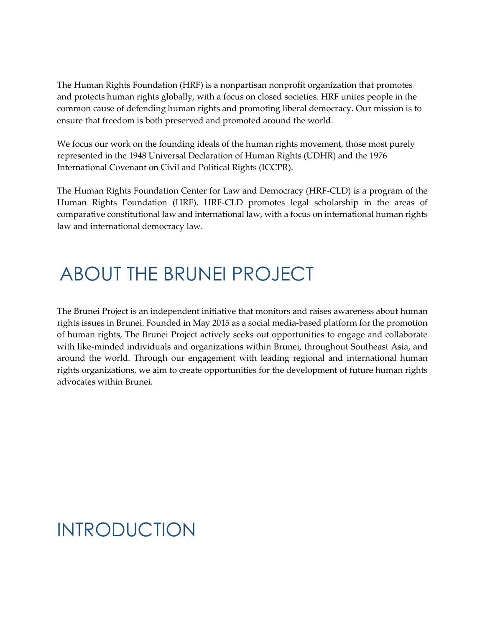The Human Rights Foundation (HRF) is a nonpartisan nonprofit organization that promotes and protects human rights globally, with a focus on closed societies. HRF unites people in the common cause of defending human rights and promoting liberal democracy. Our mission is to ensure that freedom is both preserved and promoted around the world.

We focus our work on the founding ideals of the human rights movement, those most purely represented in the 1948 Universal Declaration of Human Rights (UDHR) and the 1976 International Covenant on Civil and Political Rights (ICCPR).

The Human Rights Foundation Center for Law and Democracy (HRF-CLD) is a program of the Human Rights Foundation (HRF). HRF-CLD promotes legal scholarship in the areas of comparative constitutional law and international law, with a focus on international human rights law and international democracy law.

#### ABOUT THE BRUNEI PROJECT

The Brunei Project is an independent initiative that monitors and raises awareness about human rights issues in Brunei. Founded in May 2015 as a social media-based platform for the promotion of human rights, The Brunei Project actively seeks out opportunities to engage and collaborate with like-minded individuals and organizations within Brunei, throughout Southeast Asia, and around the world. Through our engagement with leading regional and international human rights organizations, we aim to create opportunities for the development of future human rights advocates within Brunei.

### INTRODUCTION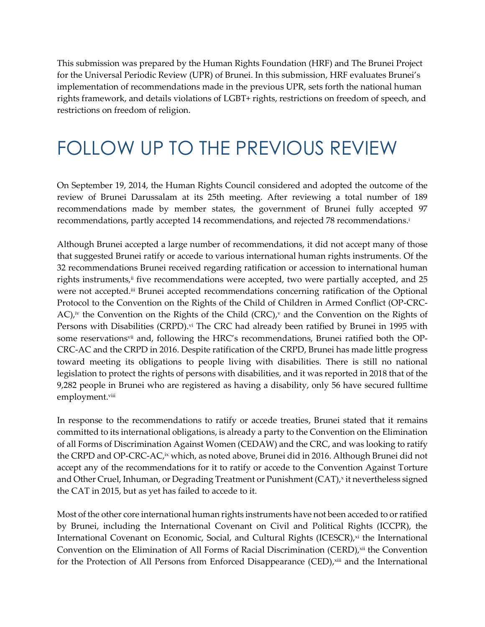This submission was prepared by the Human Rights Foundation (HRF) and The Brunei Project for the Universal Periodic Review (UPR) of Brunei. In this submission, HRF evaluates Brunei's implementation of recommendations made in the previous UPR, sets forth the national human rights framework, and details violations of LGBT+ rights, restrictions on freedom of speech, and restrictions on freedom of religion.

#### FOLLOW UP TO THE PREVIOUS REVIEW

On September 19, 2014, the Human Rights Council considered and adopted the outcome of the review of Brunei Darussalam at its 25th meeting. After reviewing a total number of 189 recommendations made by member states, the government of Brunei fully accepted 97 recommendations, partly accepted 14 recommendations, and rejected 78 recommendations.<sup>i</sup>

Although Brunei accepted a large number of recommendations, it did not accept many of those that suggested Brunei ratify or accede to various international human rights instruments. Of the 32 recommendations Brunei received regarding ratification or accession to international human rights instruments, $\ddot{a}$  five recommendations were accepted, two were partially accepted, and 25 were not accepted.<sup>iii</sup> Brunei accepted recommendations concerning ratification of the Optional Protocol to the Convention on the Rights of the Child of Children in Armed Conflict (OP-CRC-AC),<sup>iv</sup> the Convention on the Rights of the Child (CRC),<sup>v</sup> and the Convention on the Rights of Persons with Disabilities (CRPD).<sup>vi</sup> The CRC had already been ratified by Brunei in 1995 with some reservations<sup>vii</sup> and, following the HRC's recommendations, Brunei ratified both the OP-CRC-AC and the CRPD in 2016. Despite ratification of the CRPD, Brunei has made little progress toward meeting its obligations to people living with disabilities. There is still no national legislation to protect the rights of persons with disabilities, and it was reported in 2018 that of the 9,282 people in Brunei who are registered as having a disability, only 56 have secured fulltime employment.viii

In response to the recommendations to ratify or accede treaties, Brunei stated that it remains committed to its international obligations, is already a party to the Convention on the Elimination of all Forms of Discrimination Against Women (CEDAW) and the CRC, and was looking to ratify the CRPD and OP-CRC-AC,¤ which, as noted above, Brunei did in 2016. Although Brunei did not accept any of the recommendations for it to ratify or accede to the Convention Against Torture and Other Cruel, Inhuman, or Degrading Treatment or Punishment (CAT),<sup>x</sup> it nevertheless signed the CAT in 2015, but as yet has failed to accede to it.

Most of the other core international human rights instruments have not been acceded to or ratified by Brunei, including the International Covenant on Civil and Political Rights (ICCPR), the International Covenant on Economic, Social, and Cultural Rights (ICESCR),<sup>xi</sup> the International Convention on the Elimination of All Forms of Racial Discrimination (CERD),<sup>xii</sup> the Convention for the Protection of All Persons from Enforced Disappearance (CED), xiii and the International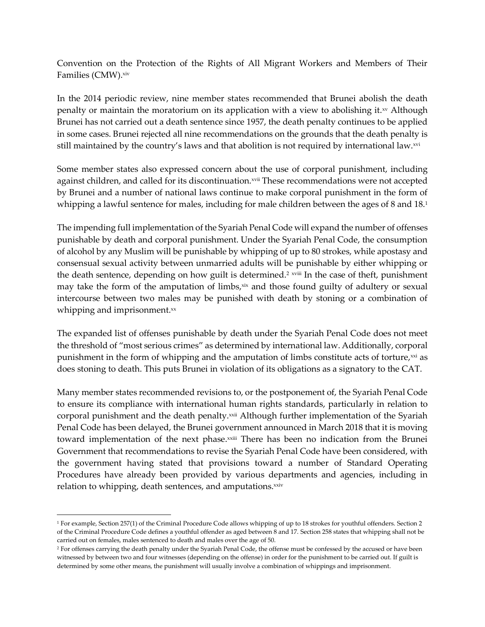Convention on the Protection of the Rights of All Migrant Workers and Members of Their Families (CMW).xiv

In the 2014 periodic review, nine member states recommended that Brunei abolish the death penalty or maintain the moratorium on its application with a view to abolishing it. $^{x}$  Although Brunei has not carried out a death sentence since 1957, the death penalty continues to be applied in some cases. Brunei rejected all nine recommendations on the grounds that the death penalty is still maintained by the country's laws and that abolition is not required by international law.xvi

Some member states also expressed concern about the use of corporal punishment, including against children, and called for its discontinuation.<sup>xvii</sup> These recommendations were not accepted by Brunei and a number of national laws continue to make corporal punishment in the form of whipping a lawful sentence for males, including for male children between the ages of 8 and 18.<sup>1</sup>

The impending full implementation of the Syariah Penal Code will expand the number of offenses punishable by death and corporal punishment. Under the Syariah Penal Code, the consumption of alcohol by any Muslim will be punishable by whipping of up to 80 strokes, while apostasy and consensual sexual activity between unmarried adults will be punishable by either whipping or the death sentence, depending on how guilt is determined.<sup>2 xvii</sup> In the case of theft, punishment may take the form of the amputation of limbs, xix and those found guilty of adultery or sexual intercourse between two males may be punished with death by stoning or a combination of whipping and imprisonment.xx

The expanded list of offenses punishable by death under the Syariah Penal Code does not meet the threshold of "most serious crimes" as determined by international law. Additionally, corporal punishment in the form of whipping and the amputation of limbs constitute acts of torture, xxi as does stoning to death. This puts Brunei in violation of its obligations as a signatory to the CAT.

Many member states recommended revisions to, or the postponement of, the Syariah Penal Code to ensure its compliance with international human rights standards, particularly in relation to corporal punishment and the death penalty.<sup>xxii</sup> Although further implementation of the Syariah Penal Code has been delayed, the Brunei government announced in March 2018 that it is moving toward implementation of the next phase.xxiii There has been no indication from the Brunei Government that recommendations to revise the Syariah Penal Code have been considered, with the government having stated that provisions toward a number of Standard Operating Procedures have already been provided by various departments and agencies, including in relation to whipping, death sentences, and amputations.<sup>xxiv</sup>

<sup>1</sup> For example, Section 257(1) of the Criminal Procedure Code allows whipping of up to 18 strokes for youthful offenders. Section 2 of the Criminal Procedure Code defines a youthful offender as aged between 8 and 17. Section 258 states that whipping shall not be carried out on females, males sentenced to death and males over the age of 50.

<sup>&</sup>lt;sup>2</sup> For offenses carrying the death penalty under the Syariah Penal Code, the offense must be confessed by the accused or have been witnessed by between two and four witnesses (depending on the offense) in order for the punishment to be carried out. If guilt is determined by some other means, the punishment will usually involve a combination of whippings and imprisonment.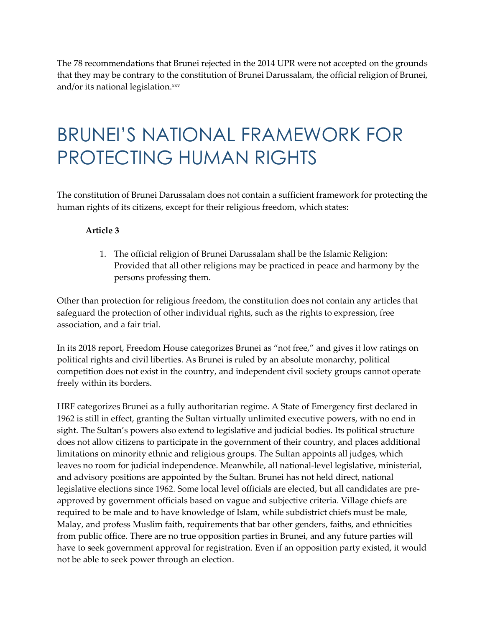The 78 recommendations that Brunei rejected in the 2014 UPR were not accepted on the grounds that they may be contrary to the constitution of Brunei Darussalam, the official religion of Brunei, and/or its national legislation.xxv

### BRUNEI'S NATIONAL FRAMEWORK FOR PROTECTING HUMAN RIGHTS

The constitution of Brunei Darussalam does not contain a sufficient framework for protecting the human rights of its citizens, except for their religious freedom, which states:

#### **Article 3**

1. The official religion of Brunei Darussalam shall be the Islamic Religion: Provided that all other religions may be practiced in peace and harmony by the persons professing them.

Other than protection for religious freedom, the constitution does not contain any articles that safeguard the protection of other individual rights, such as the rights to expression, free association, and a fair trial.

In its 2018 report, Freedom House categorizes Brunei as "not free," and gives it low ratings on political rights and civil liberties. As Brunei is ruled by an absolute monarchy, political competition does not exist in the country, and independent civil society groups cannot operate freely within its borders.

HRF categorizes Brunei as a fully authoritarian regime. A State of Emergency first declared in 1962 is still in effect, granting the Sultan virtually unlimited executive powers, with no end in sight. The Sultan's powers also extend to legislative and judicial bodies. Its political structure does not allow citizens to participate in the government of their country, and places additional limitations on minority ethnic and religious groups. The Sultan appoints all judges, which leaves no room for judicial independence. Meanwhile, all national-level legislative, ministerial, and advisory positions are appointed by the Sultan. Brunei has not held direct, national legislative elections since 1962. Some local level officials are elected, but all candidates are preapproved by government officials based on vague and subjective criteria. Village chiefs are required to be male and to have knowledge of Islam, while subdistrict chiefs must be male, Malay, and profess Muslim faith, requirements that bar other genders, faiths, and ethnicities from public office. There are no true opposition parties in Brunei, and any future parties will have to seek government approval for registration. Even if an opposition party existed, it would not be able to seek power through an election.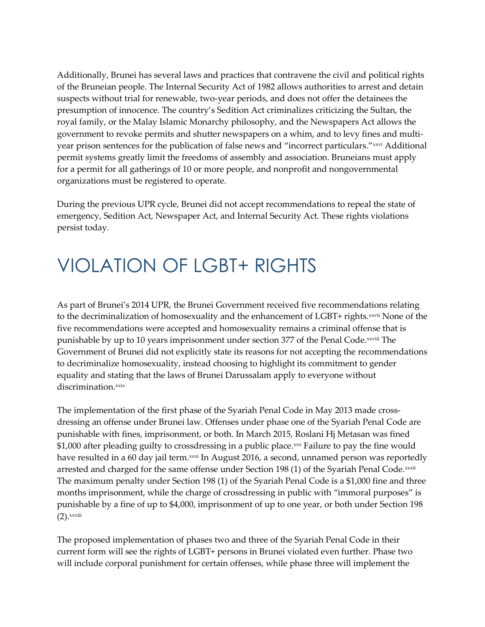Additionally, Brunei has several laws and practices that contravene the civil and political rights of the Bruneian people. The Internal Security Act of 1982 allows authorities to arrest and detain suspects without trial for renewable, two-year periods, and does not offer the detainees the presumption of innocence. The country's Sedition Act criminalizes criticizing the Sultan, the royal family, or the Malay Islamic Monarchy philosophy, and the Newspapers Act allows the government to revoke permits and shutter newspapers on a whim, and to levy fines and multiyear prison sentences for the publication of false news and "incorrect particulars." xxvi Additional permit systems greatly limit the freedoms of assembly and association. Bruneians must apply for a permit for all gatherings of 10 or more people, and nonprofit and nongovernmental organizations must be registered to operate.

During the previous UPR cycle, Brunei did not accept recommendations to repeal the state of emergency, Sedition Act, Newspaper Act, and Internal Security Act. These rights violations persist today.

### VIOLATION OF LGBT+ RIGHTS

As part of Brunei's 2014 UPR, the Brunei Government received five recommendations relating to the decriminalization of homosexuality and the enhancement of LGBT+ rights.<sup>xxvii</sup> None of the five recommendations were accepted and homosexuality remains a criminal offense that is punishable by up to 10 years imprisonment under section 377 of the Penal Code.<sup>xxviii</sup> The Government of Brunei did not explicitly state its reasons for not accepting the recommendations to decriminalize homosexuality, instead choosing to highlight its commitment to gender equality and stating that the laws of Brunei Darussalam apply to everyone without discrimination.xxix

The implementation of the first phase of the Syariah Penal Code in May 2013 made crossdressing an offense under Brunei law. Offenses under phase one of the Syariah Penal Code are punishable with fines, imprisonment, or both. In March 2015, Roslani Hj Metasan was fined \$1,000 after pleading guilty to crossdressing in a public place. xxx Failure to pay the fine would have resulted in a 60 day jail term.<sup>xxxi</sup> In August 2016, a second, unnamed person was reportedly arrested and charged for the same offense under Section 198 (1) of the Syariah Penal Code.xxxii The maximum penalty under Section 198 (1) of the Syariah Penal Code is a \$1,000 fine and three months imprisonment, while the charge of crossdressing in public with "immoral purposes" is punishable by a fine of up to \$4,000, imprisonment of up to one year, or both under Section 198  $(2)$ . xxxiii

The proposed implementation of phases two and three of the Syariah Penal Code in their current form will see the rights of LGBT+ persons in Brunei violated even further. Phase two will include corporal punishment for certain offenses, while phase three will implement the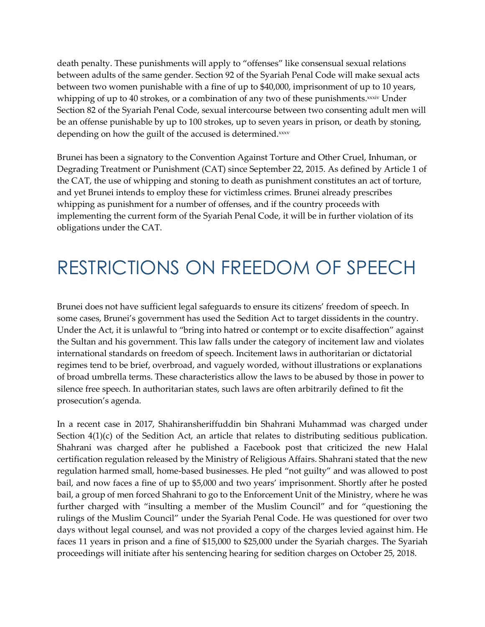death penalty. These punishments will apply to "offenses" like consensual sexual relations between adults of the same gender. Section 92 of the Syariah Penal Code will make sexual acts between two women punishable with a fine of up to \$40,000, imprisonment of up to 10 years, whipping of up to 40 strokes, or a combination of any two of these punishments.<sup>xxxiv</sup> Under Section 82 of the Syariah Penal Code, sexual intercourse between two consenting adult men will be an offense punishable by up to 100 strokes, up to seven years in prison, or death by stoning, depending on how the guilt of the accused is determined.xxxv

Brunei has been a signatory to the Convention Against Torture and Other Cruel, Inhuman, or Degrading Treatment or Punishment (CAT) since September 22, 2015. As defined by Article 1 of the CAT, the use of whipping and stoning to death as punishment constitutes an act of torture, and yet Brunei intends to employ these for victimless crimes. Brunei already prescribes whipping as punishment for a number of offenses, and if the country proceeds with implementing the current form of the Syariah Penal Code, it will be in further violation of its obligations under the CAT.

### RESTRICTIONS ON FREEDOM OF SPEECH

Brunei does not have sufficient legal safeguards to ensure its citizens' freedom of speech. In some cases, Brunei's government has used the Sedition Act to target dissidents in the country. Under the Act, it is unlawful to "bring into hatred or contempt or to excite disaffection" against the Sultan and his government. This law falls under the category of incitement law and violates international standards on freedom of speech. Incitement laws in authoritarian or dictatorial regimes tend to be brief, overbroad, and vaguely worded, without illustrations or explanations of broad umbrella terms. These characteristics allow the laws to be abused by those in power to silence free speech. In authoritarian states, such laws are often arbitrarily defined to fit the prosecution's agenda.

In a recent case in 2017, Shahiransheriffuddin bin Shahrani Muhammad was charged under Section  $4(1)(c)$  of the Sedition Act, an article that relates to distributing seditious publication. Shahrani was charged after he published a Facebook post that criticized the new Halal certification regulation released by the Ministry of Religious Affairs. Shahrani stated that the new regulation harmed small, home-based businesses. He pled "not guilty" and was allowed to post bail, and now faces a fine of up to \$5,000 and two years' imprisonment. Shortly after he posted bail, a group of men forced Shahrani to go to the Enforcement Unit of the Ministry, where he was further charged with "insulting a member of the Muslim Council" and for "questioning the rulings of the Muslim Council" under the Syariah Penal Code. He was questioned for over two days without legal counsel, and was not provided a copy of the charges levied against him. He faces 11 years in prison and a fine of \$15,000 to \$25,000 under the Syariah charges. The Syariah proceedings will initiate after his sentencing hearing for sedition charges on October 25, 2018.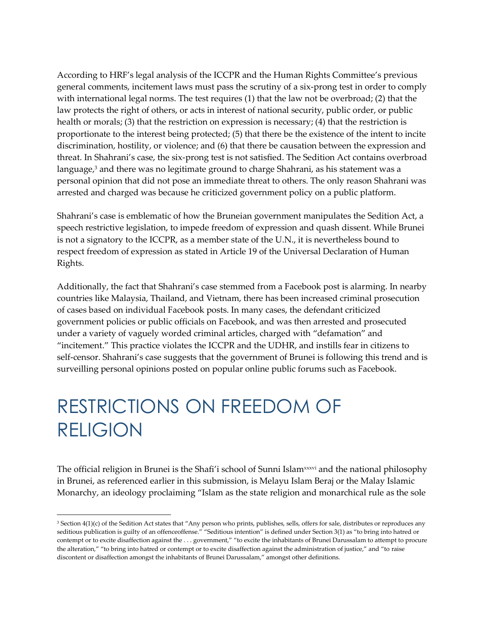According to HRF's legal analysis of the ICCPR and the Human Rights Committee's previous general comments, incitement laws must pass the scrutiny of a six-prong test in order to comply with international legal norms. The test requires (1) that the law not be overbroad; (2) that the law protects the right of others, or acts in interest of national security, public order, or public health or morals; (3) that the restriction on expression is necessary; (4) that the restriction is proportionate to the interest being protected; (5) that there be the existence of the intent to incite discrimination, hostility, or violence; and (6) that there be causation between the expression and threat. In Shahrani's case, the six-prong test is not satisfied. The Sedition Act contains overbroad language, <sup>3</sup> and there was no legitimate ground to charge Shahrani, as his statement was a personal opinion that did not pose an immediate threat to others. The only reason Shahrani was arrested and charged was because he criticized government policy on a public platform.

Shahrani's case is emblematic of how the Bruneian government manipulates the Sedition Act, a speech restrictive legislation, to impede freedom of expression and quash dissent. While Brunei is not a signatory to the ICCPR, as a member state of the U.N., it is nevertheless bound to respect freedom of expression as stated in Article 19 of the Universal Declaration of Human Rights.

Additionally, the fact that Shahrani's case stemmed from a Facebook post is alarming. In nearby countries like Malaysia, Thailand, and Vietnam, there has been increased criminal prosecution of cases based on individual Facebook posts. In many cases, the defendant criticized government policies or public officials on Facebook, and was then arrested and prosecuted under a variety of vaguely worded criminal articles, charged with "defamation" and "incitement." This practice violates the ICCPR and the UDHR, and instills fear in citizens to self-censor. Shahrani's case suggests that the government of Brunei is following this trend and is surveilling personal opinions posted on popular online public forums such as Facebook.

## RESTRICTIONS ON FREEDOM OF RELIGION

The official religion in Brunei is the Shafi'i school of Sunni Islamxxxi and the national philosophy in Brunei, as referenced earlier in this submission, is Melayu Islam Beraj or the Malay Islamic Monarchy, an ideology proclaiming "Islam as the state religion and monarchical rule as the sole

<sup>&</sup>lt;sup>3</sup> Section 4(1)(c) of the Sedition Act states that "Any person who prints, publishes, sells, offers for sale, distributes or reproduces any seditious publication is guilty of an offenceoffense." "Seditious intention" is defined under Section 3(1) as "to bring into hatred or contempt or to excite disaffection against the . . . government," "to excite the inhabitants of Brunei Darussalam to attempt to procure the alteration," "to bring into hatred or contempt or to excite disaffection against the administration of justice," and "to raise discontent or disaffection amongst the inhabitants of Brunei Darussalam," amongst other definitions.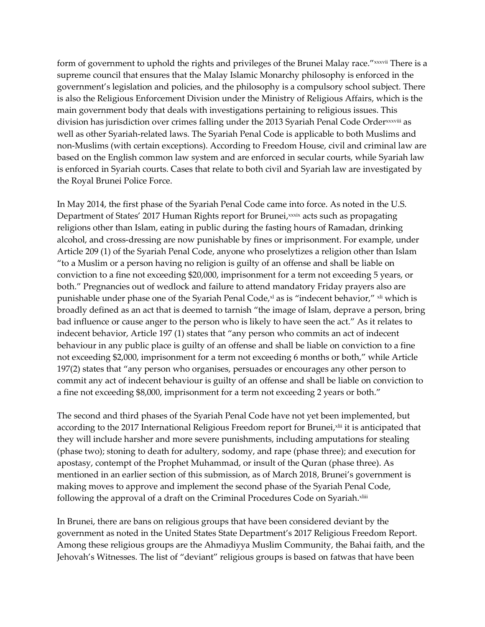form of government to uphold the rights and privileges of the Brunei Malay race." xxxvii There is a supreme council that ensures that the Malay Islamic Monarchy philosophy is enforced in the government's legislation and policies, and the philosophy is a compulsory school subject. There is also the Religious Enforcement Division under the Ministry of Religious Affairs, which is the main government body that deals with investigations pertaining to religious issues. This division has jurisdiction over crimes falling under the 2013 Syariah Penal Code Order<sup>xxxviii</sup> as well as other Syariah-related laws. The Syariah Penal Code is applicable to both Muslims and non-Muslims (with certain exceptions). According to Freedom House, civil and criminal law are based on the English common law system and are enforced in secular courts, while Syariah law is enforced in Syariah courts. Cases that relate to both civil and Syariah law are investigated by the Royal Brunei Police Force.

In May 2014, the first phase of the Syariah Penal Code came into force. As noted in the U.S. Department of States' 2017 Human Rights report for Brunei,¤xxix acts such as propagating religions other than Islam, eating in public during the fasting hours of Ramadan, drinking alcohol, and cross-dressing are now punishable by fines or imprisonment. For example, under Article 209 (1) of the Syariah Penal Code, anyone who proselytizes a religion other than Islam "to a Muslim or a person having no religion is guilty of an offense and shall be liable on conviction to a fine not exceeding \$20,000, imprisonment for a term not exceeding 5 years, or both." Pregnancies out of wedlock and failure to attend mandatory Friday prayers also are punishable under phase one of the Syariah Penal Code,<sup>x1</sup> as is "indecent behavior," <sup>xli</sup> which is broadly defined as an act that is deemed to tarnish "the image of Islam, deprave a person, bring bad influence or cause anger to the person who is likely to have seen the act." As it relates to indecent behavior, Article 197 (1) states that "any person who commits an act of indecent behaviour in any public place is guilty of an offense and shall be liable on conviction to a fine not exceeding \$2,000, imprisonment for a term not exceeding 6 months or both," while Article 197(2) states that "any person who organises, persuades or encourages any other person to commit any act of indecent behaviour is guilty of an offense and shall be liable on conviction to a fine not exceeding \$8,000, imprisonment for a term not exceeding 2 years or both."

The second and third phases of the Syariah Penal Code have not yet been implemented, but according to the 2017 International Religious Freedom report for Brunei,×lii it is anticipated that they will include harsher and more severe punishments, including amputations for stealing (phase two); stoning to death for adultery, sodomy, and rape (phase three); and execution for apostasy, contempt of the Prophet Muhammad, or insult of the Quran (phase three). As mentioned in an earlier section of this submission, as of March 2018, Brunei's government is making moves to approve and implement the second phase of the Syariah Penal Code, following the approval of a draft on the Criminal Procedures Code on Syariah.xliii

In Brunei, there are bans on religious groups that have been considered deviant by the government as noted in the United States State Department's 2017 Religious Freedom Report. Among these religious groups are the Ahmadiyya Muslim Community, the Bahai faith, and the Jehovah's Witnesses. The list of "deviant" religious groups is based on fatwas that have been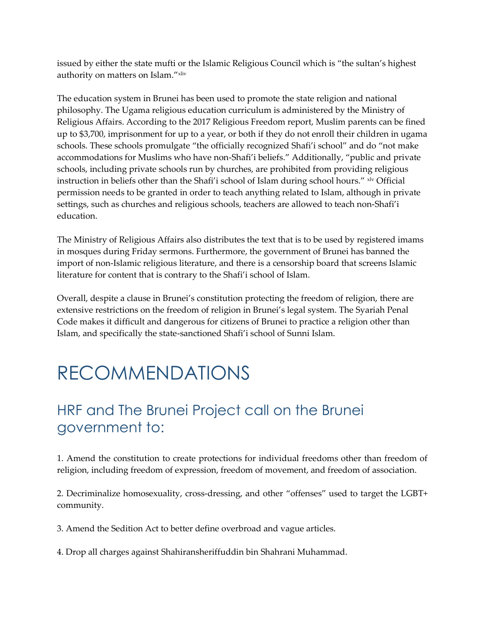issued by either the state mufti or the Islamic Religious Council which is "the sultan's highest authority on matters on Islam."xliv

The education system in Brunei has been used to promote the state religion and national philosophy. The Ugama religious education curriculum is administered by the Ministry of Religious Affairs. According to the 2017 Religious Freedom report, Muslim parents can be fined up to \$3,700, imprisonment for up to a year, or both if they do not enroll their children in ugama schools. These schools promulgate "the officially recognized Shafi'i school" and do "not make accommodations for Muslims who have non-Shafi'i beliefs." Additionally, "public and private schools, including private schools run by churches, are prohibited from providing religious instruction in beliefs other than the Shafi'i school of Islam during school hours." xlv Official permission needs to be granted in order to teach anything related to Islam, although in private settings, such as churches and religious schools, teachers are allowed to teach non-Shafi'i education.

The Ministry of Religious Affairs also distributes the text that is to be used by registered imams in mosques during Friday sermons. Furthermore, the government of Brunei has banned the import of non-Islamic religious literature, and there is a censorship board that screens Islamic literature for content that is contrary to the Shafi'i school of Islam.

Overall, despite a clause in Brunei's constitution protecting the freedom of religion, there are extensive restrictions on the freedom of religion in Brunei's legal system. The Syariah Penal Code makes it difficult and dangerous for citizens of Brunei to practice a religion other than Islam, and specifically the state-sanctioned Shafi'i school of Sunni Islam.

#### RECOMMENDATIONS

#### HRF and The Brunei Project call on the Brunei government to:

1. Amend the constitution to create protections for individual freedoms other than freedom of religion, including freedom of expression, freedom of movement, and freedom of association.

2. Decriminalize homosexuality, cross-dressing, and other "offenses" used to target the LGBT+ community.

3. Amend the Sedition Act to better define overbroad and vague articles.

4. Drop all charges against Shahiransheriffuddin bin Shahrani Muhammad.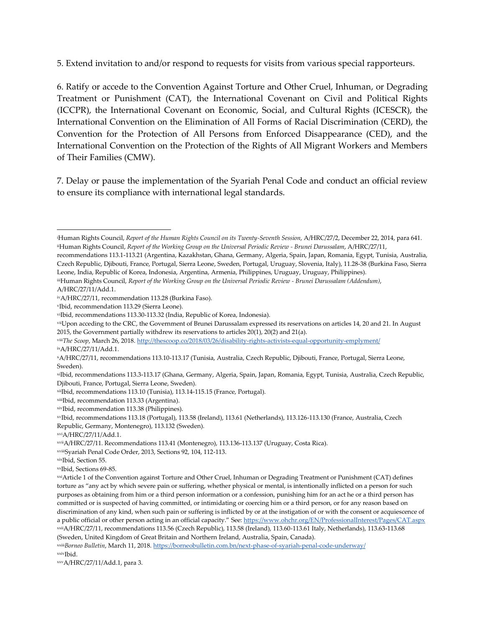5. Extend invitation to and/or respond to requests for visits from various special rapporteurs.

6. Ratify or accede to the Convention Against Torture and Other Cruel, Inhuman, or Degrading Treatment or Punishment (CAT), the International Covenant on Civil and Political Rights (ICCPR), the International Covenant on Economic, Social, and Cultural Rights (ICESCR), the International Convention on the Elimination of All Forms of Racial Discrimination (CERD), the Convention for the Protection of All Persons from Enforced Disappearance (CED), and the International Convention on the Protection of the Rights of All Migrant Workers and Members of Their Families (CMW).

7. Delay or pause the implementation of the Syariah Penal Code and conduct an official review to ensure its compliance with international legal standards.

ixA/HRC/27/11/Add.1.

 $\overline{a}$ 

xiIbid, recommendations 113.3-113.17 (Ghana, Germany, Algeria, Spain, Japan, Romania, Egypt, Tunisia, Australia, Czech Republic, Djibouti, France, Portugal, Sierra Leone, Sweden).

xiiIbid, recommendations 113.10 (Tunisia), 113.14-115.15 (France, Portugal).

xivIbid, recommendation 113.38 (Philippines).

(Sweden, United Kingdom of Great Britain and Northern Ireland, Australia, Spain, Canada).

xxiii*Borneo Bulletin*, March 11, 2018. <https://borneobulletin.com.bn/next-phase-of-syariah-penal-code-underway/> xxivIbid.

<sup>i</sup>Human Rights Council, *Report of the Human Rights Council on its Twenty-Seventh Session*, A/HRC/27/2, December 22, 2014, para 641. iiHuman Rights Council, *Report of the Working Group on the Universal Periodic Review - Brunei Darussalam*, A/HRC/27/11,

recommendations 113.1-113.21 (Argentina, Kazakhstan, Ghana, Germany, Algeria, Spain, Japan, Romania, Egypt, Tunisia, Australia, Czech Republic, Djibouti, France, Portugal, Sierra Leone, Sweden, Portugal, Uruguay, Slovenia, Italy), 11.28-38 (Burkina Faso, Sierra Leone, India, Republic of Korea, Indonesia, Argentina, Armenia, Philippines, Uruguay, Uruguay, Philippines).

iiiHuman Rights Council, *Report of the Working Group on the Universal Periodic Review - Brunei Darussalam (Addendum)*, A/HRC/27/11/Add.1.

ivA/HRC/27/11, recommendation 113.28 (Burkina Faso).

<sup>v</sup>Ibid, recommendation 113.29 (Sierra Leone).

viIbid, recommendations 113.30-113.32 (India, Republic of Korea, Indonesia).

viiUpon acceding to the CRC, the Government of Brunei Darussalam expressed its reservations on articles 14, 20 and 21. In August 2015, the Government partially withdrew its reservations to articles 20(1), 20(2) and 21(a).

viiiThe Scoop, March 26, 2018. <http://thescoop.co/2018/03/26/disability-rights-activists-equal-opportunity-emplyment/>

<sup>x</sup>A/HRC/27/11, recommendations 113.10-113.17 (Tunisia, Australia, Czech Republic, Djibouti, France, Portugal, Sierra Leone, Sweden).

xiiiIbid, recommendation 113.33 (Argentina).

xvIbid, recommendations 113.18 (Portugal), 113.58 (Ireland), 113.61 (Netherlands), 113.126-113.130 (France, Australia, Czech Republic, Germany, Montenegro), 113.132 (Sweden).

xviA/HRC/27/11/Add.1.

xviiA/HRC/27/11. Recommendations 113.41 (Montenegro), 113.136-113.137 (Uruguay, Costa Rica).

xviiiSyariah Penal Code Order, 2013, Sections 92, 104, 112-113.

xixIbid, Section 55.

xxIbid, Sections 69-85.

xxiArticle 1 of the Convention against Torture and Other Cruel, Inhuman or Degrading Treatment or Punishment (CAT) defines torture as "any act by which severe pain or suffering, whether physical or mental, is intentionally inflicted on a person for such purposes as obtaining from him or a third person information or a confession, punishing him for an act he or a third person has committed or is suspected of having committed, or intimidating or coercing him or a third person, or for any reason based on discrimination of any kind, when such pain or suffering is inflicted by or at the instigation of or with the consent or acquiescence of a public official or other person acting in an official capacity." See[: https://www.ohchr.org/EN/ProfessionalInterest/Pages/CAT.aspx](https://www.ohchr.org/EN/ProfessionalInterest/Pages/CAT.aspx) xxiiA/HRC/27/11, recommendations 113.56 (Czech Republic), 113.58 (Ireland), 113.60-113.61 Italy, Netherlands), 113.63-113.68

xxvA/HRC/27/11/Add.1, para 3.